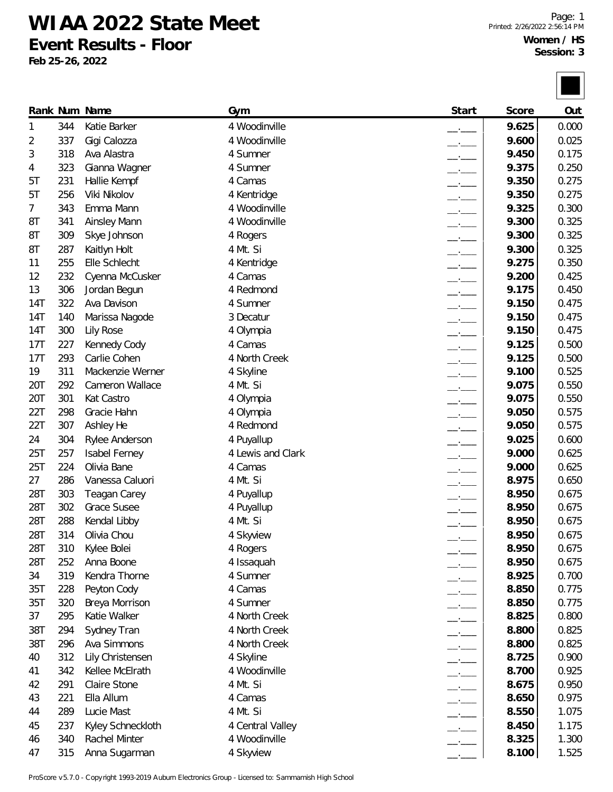**WIAA 2022 State Meet**

**Event Results - Floor**

**Feb 25-26, 2022**

|     |     | Rank Num Name        | Gym               | Start                    | Score | Out   |
|-----|-----|----------------------|-------------------|--------------------------|-------|-------|
| 1   | 344 | Katie Barker         | 4 Woodinville     |                          | 9.625 | 0.000 |
| 2   | 337 | Gigi Calozza         | 4 Woodinville     |                          | 9.600 | 0.025 |
| 3   | 318 | Ava Alastra          | 4 Sumner          | $-1$                     | 9.450 | 0.175 |
| 4   | 323 | Gianna Wagner        | 4 Sumner          | $-$                      | 9.375 | 0.250 |
| 5Τ  | 231 | Hallie Kempf         | 4 Camas           | $-$                      | 9.350 | 0.275 |
| 5T  | 256 | Viki Nikolov         | 4 Kentridge       | $-1$                     | 9.350 | 0.275 |
| 7   | 343 | Emma Mann            | 4 Woodinville     | $-1$                     | 9.325 | 0.300 |
| 8T  | 341 | <b>Ainsley Mann</b>  | 4 Woodinville     | $-$                      | 9.300 | 0.325 |
| 8T  | 309 | Skye Johnson         | 4 Rogers          | $-1$                     | 9.300 | 0.325 |
| 8T  | 287 | Kaitlyn Holt         | 4 Mt. Si          | $-1$                     | 9.300 | 0.325 |
| 11  | 255 | Elle Schlecht        | 4 Kentridge       | $-$                      | 9.275 | 0.350 |
| 12  | 232 | Cyenna McCusker      | 4 Camas           | $-1$                     | 9.200 | 0.425 |
| 13  | 306 | Jordan Begun         | 4 Redmond         | $-1$                     | 9.175 | 0.450 |
| 14T | 322 | Ava Davison          | 4 Sumner          |                          | 9.150 | 0.475 |
| 14T | 140 | Marissa Nagode       | 3 Decatur         | $-1$                     | 9.150 | 0.475 |
| 14T | 300 | Lily Rose            | 4 Olympia         | $-$                      | 9.150 | 0.475 |
| 17T | 227 | Kennedy Cody         | 4 Camas           | $   -$                   | 9.125 | 0.500 |
| 17T | 293 | Carlie Cohen         | 4 North Creek     | $-1$                     | 9.125 | 0.500 |
| 19  | 311 | Mackenzie Werner     | 4 Skyline         | $-$                      | 9.100 | 0.525 |
| 20T | 292 | Cameron Wallace      | 4 Mt. Si          | $-$                      | 9.075 | 0.550 |
| 20T | 301 | Kat Castro           | 4 Olympia         | $-1$                     | 9.075 | 0.550 |
| 22T | 298 | Gracie Hahn          | 4 Olympia         | $ -$                     | 9.050 | 0.575 |
| 22T | 307 | Ashley He            | 4 Redmond         | $ -$                     | 9.050 | 0.575 |
| 24  | 304 | Rylee Anderson       | 4 Puyallup        |                          | 9.025 | 0.600 |
| 25T | 257 | <b>Isabel Ferney</b> | 4 Lewis and Clark | $-1$                     | 9.000 | 0.625 |
| 25T | 224 | Olivia Bane          | 4 Camas           | $-$                      | 9.000 | 0.625 |
| 27  | 286 | Vanessa Caluori      | 4 Mt. Si          |                          | 8.975 | 0.650 |
| 28T | 303 | Teagan Carey         | 4 Puyallup        | $-1$                     | 8.950 | 0.675 |
| 28T | 302 | <b>Grace Susee</b>   | 4 Puyallup        |                          | 8.950 | 0.675 |
| 28T | 288 | Kendal Libby         | 4 Mt. Si          |                          | 8.950 | 0.675 |
| 28T | 314 | Olivia Chou          | 4 Skyview         |                          | 8.950 | 0.675 |
| 28T | 310 | Kylee Bolei          | 4 Rogers          |                          | 8.950 | 0.675 |
| 28T | 252 | Anna Boone           | 4 Issaquah        |                          | 8.950 | 0.675 |
| 34  | 319 | Kendra Thorne        | 4 Sumner          | $ -$                     | 8.925 | 0.700 |
| 35T | 228 | Peyton Cody          | 4 Camas           | $ -$                     | 8.850 | 0.775 |
| 35T | 320 | Breya Morrison       | 4 Sumner          | $ -$                     | 8.850 | 0.775 |
| 37  | 295 | Katie Walker         | 4 North Creek     | $ -$                     | 8.825 | 0.800 |
| 38T | 294 | Sydney Tran          | 4 North Creek     | $\overline{\phantom{a}}$ | 8.800 | 0.825 |
| 38T | 296 | Ava Simmons          | 4 North Creek     | $-$                      | 8.800 | 0.825 |
| 40  | 312 | Lily Christensen     | 4 Skyline         |                          | 8.725 | 0.900 |
| 41  | 342 | Kellee McElrath      | 4 Woodinville     |                          | 8.700 | 0.925 |
|     | 291 | Claire Stone         | 4 Mt. Si          | $ -$                     | 8.675 | 0.950 |
| 42  | 221 | Ella Allum           | 4 Camas           | $-$                      | 8.650 | 0.975 |
| 43  | 289 |                      |                   | $\overline{\phantom{a}}$ |       |       |
| 44  |     | Lucie Mast           | 4 Mt. Si          | $\overline{\phantom{a}}$ | 8.550 | 1.075 |
| 45  | 237 | Kyley Schneckloth    | 4 Central Valley  | $ -$                     | 8.450 | 1.175 |
| 46  | 340 | Rachel Minter        | 4 Woodinville     |                          | 8.325 | 1.300 |
| 47  | 315 | Anna Sugarman        | 4 Skyview         |                          | 8.100 | 1.525 |

ProScore v5.7.0 - Copyright 1993-2019 Auburn Electronics Group - Licensed to: Sammamish High School